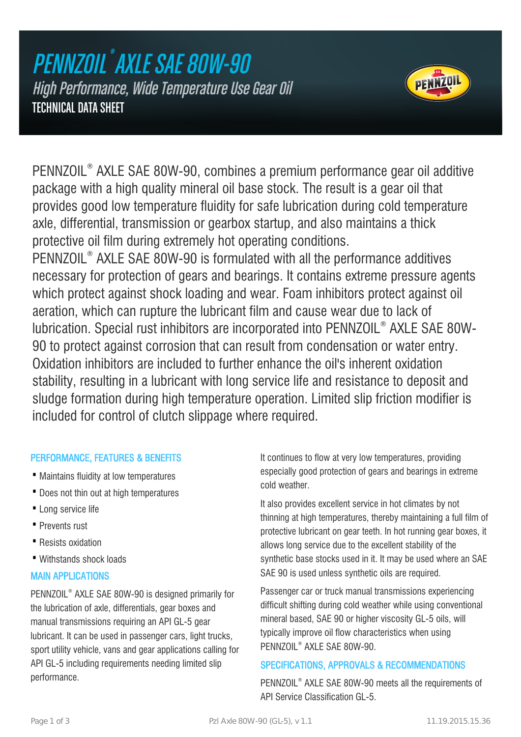## PENNZOIL ® AXLE SAE 80W-90 High Performance, Wide Temperature Use Gear Oil TECHNICAL DATA SHEET



PENNZOIL® AXLE SAE 80W-90, combines a premium performance gear oil additive package with a high quality mineral oil base stock. The result is a gear oil that provides good low temperature fluidity for safe lubrication during cold temperature axle, differential, transmission or gearbox startup, and also maintains a thick protective oil film during extremely hot operating conditions. PENNZOIL® AXLE SAE 80W-90 is formulated with all the performance additives necessary for protection of gears and bearings. It contains extreme pressure agents which protect against shock loading and wear. Foam inhibitors protect against oil aeration, which can rupture the lubricant film and cause wear due to lack of lubrication. Special rust inhibitors are incorporated into PENNZOIL® AXLE SAE 80W-90 to protect against corrosion that can result from condensation or water entry. Oxidation inhibitors are included to further enhance the oil's inherent oxidation stability, resulting in a lubricant with long service life and resistance to deposit and sludge formation during high temperature operation. Limited slip friction modifier is included for control of clutch slippage where required.

## PERFORMANCE, FEATURES & BENEFITS

- · Maintains fluidity at low temperatures
- · Does not thin out at high temperatures
- · Long service life
- · Prevents rust
- · Resists oxidation
- · Withstands shock loads

### MAIN APPLICATIONS

PENNZOIL® AXLE SAE 80W-90 is designed primarily for the lubrication of axle, differentials, gear boxes and manual transmissions requiring an API GL-5 gear lubricant. It can be used in passenger cars, light trucks, sport utility vehicle, vans and gear applications calling for API GL-5 including requirements needing limited slip performance.

It continues to flow at very low temperatures, providing especially good protection of gears and bearings in extreme cold weather.

It also provides excellent service in hot climates by not thinning at high temperatures, thereby maintaining a full film of protective lubricant on gear teeth. In hot running gear boxes, it allows long service due to the excellent stability of the synthetic base stocks used in it. It may be used where an SAE SAE 90 is used unless synthetic oils are required.

Passenger car or truck manual transmissions experiencing difficult shifting during cold weather while using conventional mineral based, SAE 90 or higher viscosity GL-5 oils, will typically improve oil flow characteristics when using PENNZOIL® AXLE SAE 80W-90.

### SPECIFICATIONS, APPROVALS & RECOMMENDATIONS

PENNZOIL® AXLE SAE 80W-90 meets all the requirements of API Service Classification GL-5.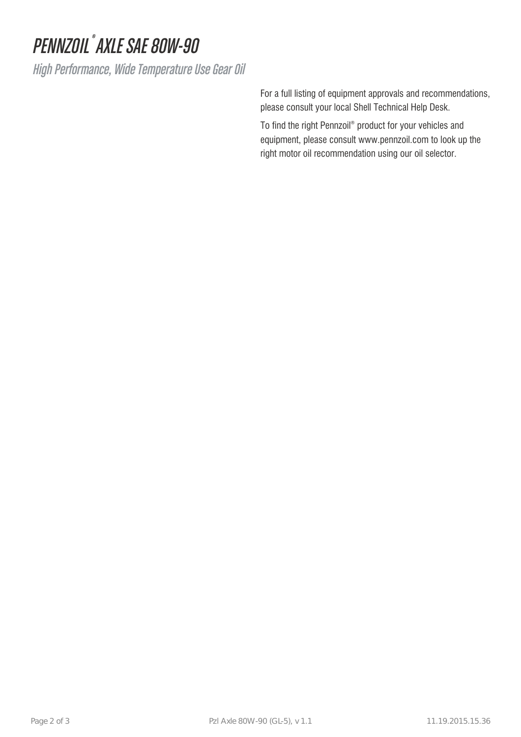# PENNZOIL<sup>®</sup> AXLE SAE 80W-90

High Performance, Wide Temperature Use Gear Oil

For a full listing of equipment approvals and recommendations, please consult your local Shell Technical Help Desk.

To find the right Pennzoil® product for your vehicles and equipment, please consult www.pennzoil.com to look up the right motor oil recommendation using our oil selector.